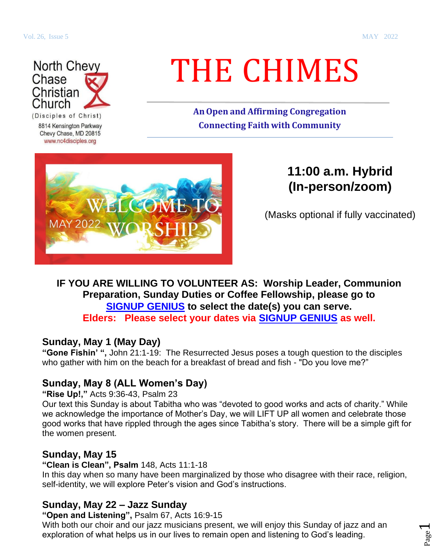Page  $\overline{\phantom{0}}$ 



8814 Kensington Parkway Chevy Chase, MD 20815 www.nc4disciples.org

# THE CHIMES

**AnOpen and Affirming Congregation Connecting Faith with Community**



# **11:00 a.m. Hybrid (In-person/zoom)**

(Masks optional if fully vaccinated)

## **IF YOU ARE WILLING TO VOLUNTEER AS: Worship Leader, Communion Preparation, Sunday Duties or Coffee Fellowship, please go to [SIGNUP GENIUS](https://www.signupgenius.com/go/30e0d4ea4a622a7fe3-nc4elders) to select the date(s) you can serve. Elders: Please select your dates via [SIGNUP GENIUS](https://www.signupgenius.com/go/30e0d4ea4a622a7fe3-nc4elders) as well.**

## **Sunday, May 1 (May Day)**

**"Gone Fishin' ",** John 21:1-19: The Resurrected Jesus poses a tough question to the disciples who gather with him on the beach for a breakfast of bread and fish - "Do you love me?"

# **Sunday, May 8 (ALL Women's Day)**

**"Rise Up!,"** Acts 9:36-43, Psalm 23

Our text this Sunday is about Tabitha who was "devoted to good works and acts of charity." While we acknowledge the importance of Mother's Day, we will LIFT UP all women and celebrate those good works that have rippled through the ages since Tabitha's story. There will be a simple gift for the women present.

## **Sunday, May 15**

**"Clean is Clean", Psalm** 148, Acts 11:1-18

In this day when so many have been marginalized by those who disagree with their race, religion, self-identity, we will explore Peter's vision and God's instructions.

# **Sunday, May 22 – Jazz Sunday**

**"Open and Listening",** Psalm 67, Acts 16:9-15

With both our choir and our jazz musicians present, we will enjoy this Sunday of jazz and an exploration of what helps us in our lives to remain open and listening to God's leading.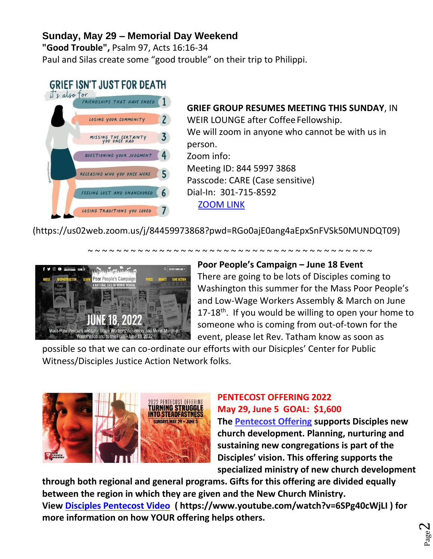# **Sunday, May 29 – Memorial Day Weekend**

**"Good Trouble",** Psalm 97, Acts 16:16-34 Paul and Silas create some "good trouble" on their trip to Philippi.

# **GRIEF ISN'T JUST FOR DEATH**



**GRIEF GROUP RESUMES MEETING THIS SUNDAY**, IN WEIR LOUNGE after Coffee Fellowship. We will zoom in anyone who cannot be with us in person. Zoom info: Meeting ID: 844 5997 3868 Passcode: CARE (Case sensitive) Dial-In: 301-715-8592 [ZOOM LINK](https://us02web.zoom.us/j/84459973868?pwd=RGo0ajE0ang4aEpxSnFVSk50MUNDQT09)

(https://us02web.zoom.us/j/84459973868?pwd=RGo0ajE0ang4aEpxSnFVSk50MUNDQT09)



#### **Poor People's Campaign – June 18 Event**

~ ~ ~ ~ ~ ~ ~ ~ ~ ~ ~ ~ ~ ~ ~ ~ ~ ~ ~ ~ ~ ~ ~ ~ ~ ~ ~ ~ ~ ~ ~ ~ ~ ~ ~ ~ ~ ~ ~ ~

There are going to be lots of Disciples coming to Washington this summer for the Mass Poor People's and Low-Wage Workers Assembly & March on June  $17-18$ <sup>th</sup>. If you would be willing to open your home to someone who is coming from out-of-town for the event, please let Rev. Tatham know as soon as

possible so that we can co-ordinate our efforts with our Disicples' Center for Public Witness/Disciples Justice Action Network folks.



# **PENTECOST OFFERING 2022 May 29, June 5 GOAL: \$1,600**

**The [Pentecost Offering](https://disciplesmissionfund.org/give/) supports Disciples new church development. Planning, nurturing and sustaining new congregations is part of the Disciples' vision. This offering supports the specialized ministry of new church development** 

**through both regional and general programs. Gifts for this offering are divided equally between the region in which they are given and the [New Church Ministry.](https://newchurchministry.org/) View [Disciples Pentecost Video](https://www.youtube.com/watch?v=6SPg40cWjLI) ( https://www.youtube.com/watch?v=6SPg40cWjLI ) for more information on how YOUR offering helps others.**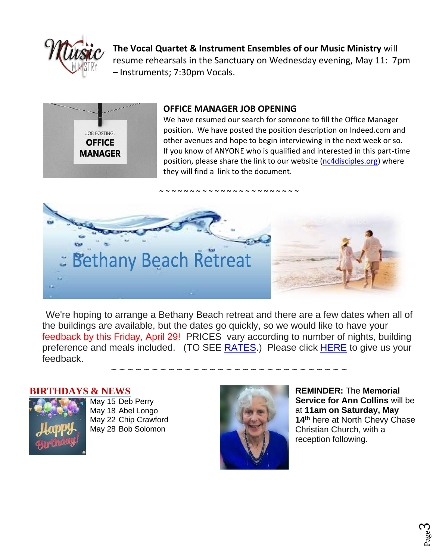

**The Vocal Quartet & Instrument Ensembles of our Music Ministry** will resume rehearsals in the Sanctuary on Wednesday evening, May 11: 7pm – Instruments; 7:30pm Vocals.



#### **OFFICE MANAGER JOB OPENING**

We have resumed our search for someone to fill the Office Manager position. We have posted the position description on Indeed.com and other avenues and hope to begin interviewing in the next week or so. If you know of ANYONE who is qualified and interested in this part-time position, please share the link to our website [\(nc4disciples.org\)](https://www.nc4disciples.org/) where they will find a link to the document.



We're hoping to arrange a Bethany Beach retreat and there are a few dates when all of the buildings are available, but the dates go quickly, so we would like to have your feedback by this Friday, April 29! PRICES vary according to number of nights, building preference and meals included. (TO SEE [RATES.](https://nc4disciples.us2.list-manage.com/track/click?u=6288ec387c19e05b3db8cdc15&id=f484f8fafb&e=d821ba81a6)) Please click [HERE](https://nc4disciples.us2.list-manage.com/track/click?u=6288ec387c19e05b3db8cdc15&id=da9d72b0b5&e=d821ba81a6) to give us your feedback.

~ ~ ~ ~ ~ ~ ~ ~ ~ ~ ~ ~ ~ ~ ~ ~ ~ ~ ~ ~ ~ ~ ~ ~ ~ ~ ~ ~ ~

#### **BIRTHDAYS & NEWS**



May 15 Deb Perry May 18 Abel Longo May 22 Chip Crawford May 28 Bob Solomon



**REMINDER:** The **Memorial Service for Ann Collins** will be at **11am on Saturday, May 14th** here at North Chevy Chase Christian Church, with a reception following.

> Page ო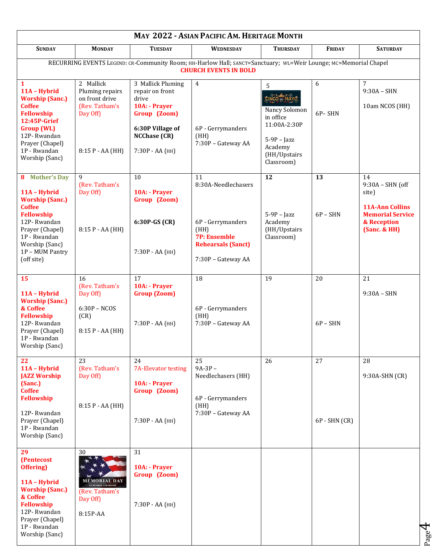| MAY 2022 - ASIAN PACIFIC AM. HERITAGE MONTH                                                                                                                                                         |                                                                                                  |                                                                                                                                              |                                                                                                                                  |                                                                                                                           |                       |                                                                                                                       |
|-----------------------------------------------------------------------------------------------------------------------------------------------------------------------------------------------------|--------------------------------------------------------------------------------------------------|----------------------------------------------------------------------------------------------------------------------------------------------|----------------------------------------------------------------------------------------------------------------------------------|---------------------------------------------------------------------------------------------------------------------------|-----------------------|-----------------------------------------------------------------------------------------------------------------------|
| <b>SUNDAY</b>                                                                                                                                                                                       | <b>MONDAY</b>                                                                                    | <b>TUESDAY</b>                                                                                                                               | WEDNESDAY                                                                                                                        | <b>THURSDAY</b>                                                                                                           | FRIDAY                | <b>SATURDAY</b>                                                                                                       |
| RECURRING EVENTS LEGEND: CR-Community Room; HH-Harlow Hall; SANCT=Sanctuary; WL=Weir Lounge; MC=Memorial Chapel<br><b>CHURCH EVENTS IN BOLD</b>                                                     |                                                                                                  |                                                                                                                                              |                                                                                                                                  |                                                                                                                           |                       |                                                                                                                       |
| 1<br>11A - Hybrid<br><b>Worship (Sanc.)</b><br><b>Coffee</b><br><b>Fellowship</b><br>12:45P-Grief<br><b>Group (WL)</b><br>12P-Rwandan<br>Prayer (Chapel)<br>1P - Rwandan<br>Worship (Sanc)          | 2 Mallick<br>Pluming repairs<br>on front drive<br>(Rev. Tatham's<br>Day Off)<br>8:15 P - AA (HH) | 3 Mallick Pluming<br>repair on front<br>drive<br>10A: - Prayer<br>Group (Zoom)<br>6:30P Village of<br><b>NCChase (CR)</b><br>7:30Р - АА (НН) | $\overline{4}$<br>6P - Gerrymanders<br>(HH)<br>7:30P - Gateway AA                                                                | 5<br>CINCO - MAYO<br>Nancy Solomon<br>in office<br>11:00A-2:30P<br>$5-9P$ - Jazz<br>Academy<br>(HH/Upstairs<br>Classroom) | 6<br>6P-SHN           | 7<br>$9:30A - SHN$<br>10am NCOS (HH)                                                                                  |
| 8 Mother's Day<br>11A - Hybrid<br><b>Worship (Sanc.)</b><br><b>Coffee</b><br><b>Fellowship</b><br>12P-Rwandan<br>Prayer (Chapel)<br>1P - Rwandan<br>Worship (Sanc)<br>1P - MUM Pantry<br>(off site) | 9<br>(Rev. Tatham's<br>Day Off)<br>8:15 P - AA (HH)                                              | 10<br>10A: - Prayer<br>Group (Zoom)<br>6:30P-GS (CR)<br>7:30Р - АА (НН)                                                                      | 11<br>8:30A-Needlechasers<br>6P - Gerrymanders<br>(HH)<br><b>7P: Ensemble</b><br><b>Rehearsals (Sanct)</b><br>7:30P - Gateway AA | 12<br>$5-9P$ - Jazz<br>Academy<br>(HH/Upstairs<br>Classroom)                                                              | 13<br>$6P - SHN$      | 14<br>$9:30A - SHN$ (off<br>site)<br><b>11A-Ann Collins</b><br><b>Memorial Service</b><br>& Reception<br>(Sanc. & HH) |
| 15<br>11A - Hybrid<br><b>Worship (Sanc.)</b><br>& Coffee<br><b>Fellowship</b><br>12P-Rwandan<br>Prayer (Chapel)<br>1P - Rwandan<br>Worship (Sanc)                                                   | 16<br>(Rev. Tatham's<br>Day Off)<br>$6:30P - NCOS$<br>(CR)<br>$8:15 P - AA (HH)$                 | 17<br>10A: - Prayer<br><b>Group (Zoom)</b><br>7:30Р - АА (НН)                                                                                | 18<br>6P - Gerrymanders<br>(HH)<br>7:30P - Gateway AA                                                                            | 19                                                                                                                        | 20<br>$6P - SHN$      | 21<br>$9:30A - SHN$                                                                                                   |
| 22<br>11A - Hybrid<br><b>JAZZ Worship</b><br>(Sanc.)<br><b>Coffee</b><br><b>Fellowship</b><br>12P-Rwandan<br>Prayer (Chapel)<br>1P - Rwandan<br>Worship (Sanc)                                      | 23<br>(Rev. Tatham's<br>Day Off)<br>$8:15 P - AA (HH)$                                           | 24<br><b>7A-Elevator testing</b><br>10A: - Prayer<br>Group (Zoom)<br>7:30P - AA (HH)                                                         | 25<br>$9A-3P-$<br>Needlechasers (HH)<br>6P - Gerrymanders<br>(HH)<br>7:30P - Gateway AA                                          | 26                                                                                                                        | 27<br>$6P - SHN (CR)$ | 28<br>9:30A-SHN (CR)                                                                                                  |
| 29<br>(Pentecost<br>Offering)<br>11A - Hybrid<br><b>Worship (Sanc.)</b><br>& Coffee<br>Fellowship<br>12P-Rwandan<br>Prayer (Chapel)<br>1P - Rwandan<br>Worship (Sanc)                               | 30<br><b>MEMORIAL DAY</b><br><b>REMEMBER AND HONOR</b><br>(Rev. Tatham's<br>Day Off)<br>8:15P-AA | 31<br>10A: - Prayer<br>Group (Zoom)<br>7:30Р - АА (НН)                                                                                       |                                                                                                                                  |                                                                                                                           |                       |                                                                                                                       |

Page